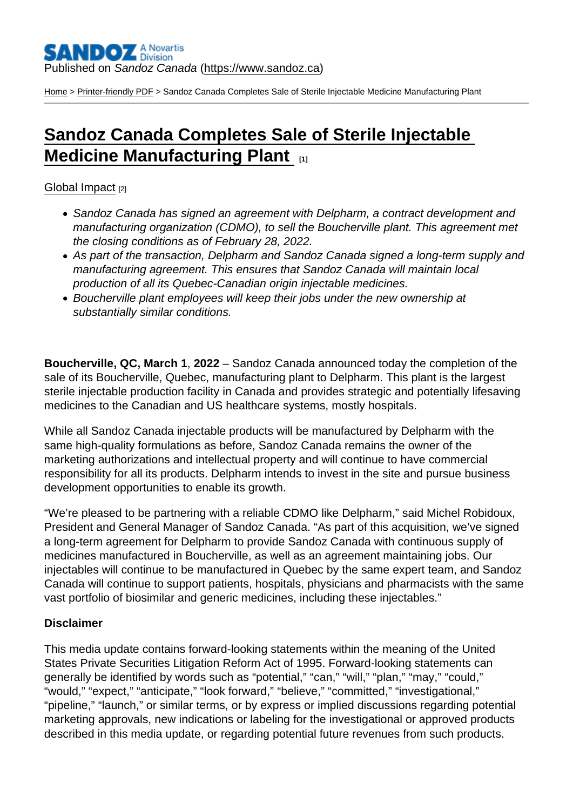[Home](https://www.sandoz.ca/en) > [Printer-friendly PDF](https://www.sandoz.ca/en/printpdf) > Sandoz Canada Completes Sale of Sterile Injectable Medicine Manufacturing Plant

# [Sandoz Canada Completes Sale of Sterile Injectable](https://www.sandoz.ca/en/stories/global-impact/sandoz-canada-completes-sale-sterile-injectable-medicine-manufacturing-plant-0)  **Medicine Manufacturing Plant**

### [Global Impact](https://www.sandoz.ca/en/stories/global-impact) [2]

- Sandoz Canada has signed an agreement with Delpharm, a contract development and manufacturing organization (CDMO), to sell the Boucherville plant. This agreement met the closing conditions as of February 28, 2022.
- As part of the transaction, Delpharm and Sandoz Canada signed a long-term supply and manufacturing agreement. This ensures that Sandoz Canada will maintain local production of all its Quebec-Canadian origin injectable medicines.
- Boucherville plant employees will keep their jobs under the new ownership at substantially similar conditions.

Boucherville, QC, March 1 , 2022 – Sandoz Canada announced today the completion of the sale of its Boucherville, Quebec, manufacturing plant to Delpharm. This plant is the largest sterile injectable production facility in Canada and provides strategic and potentially lifesaving medicines to the Canadian and US healthcare systems, mostly hospitals.

While all Sandoz Canada injectable products will be manufactured by Delpharm with the same high-quality formulations as before, Sandoz Canada remains the owner of the marketing authorizations and intellectual property and will continue to have commercial responsibility for all its products. Delpharm intends to invest in the site and pursue business development opportunities to enable its growth.

"We're pleased to be partnering with a reliable CDMO like Delpharm," said Michel Robidoux, President and General Manager of Sandoz Canada. "As part of this acquisition, we've signed a long-term agreement for Delpharm to provide Sandoz Canada with continuous supply of medicines manufactured in Boucherville, as well as an agreement maintaining jobs. Our injectables will continue to be manufactured in Quebec by the same expert team, and Sandoz Canada will continue to support patients, hospitals, physicians and pharmacists with the same vast portfolio of biosimilar and generic medicines, including these injectables."

## **Disclaimer**

This media update contains forward-looking statements within the meaning of the United States Private Securities Litigation Reform Act of 1995. Forward-looking statements can generally be identified by words such as "potential," "can," "will," "plan," "may," "could," "would," "expect," "anticipate," "look forward," "believe," "committed," "investigational," "pipeline," "launch," or similar terms, or by express or implied discussions regarding potential marketing approvals, new indications or labeling for the investigational or approved products described in this media update, or regarding potential future revenues from such products.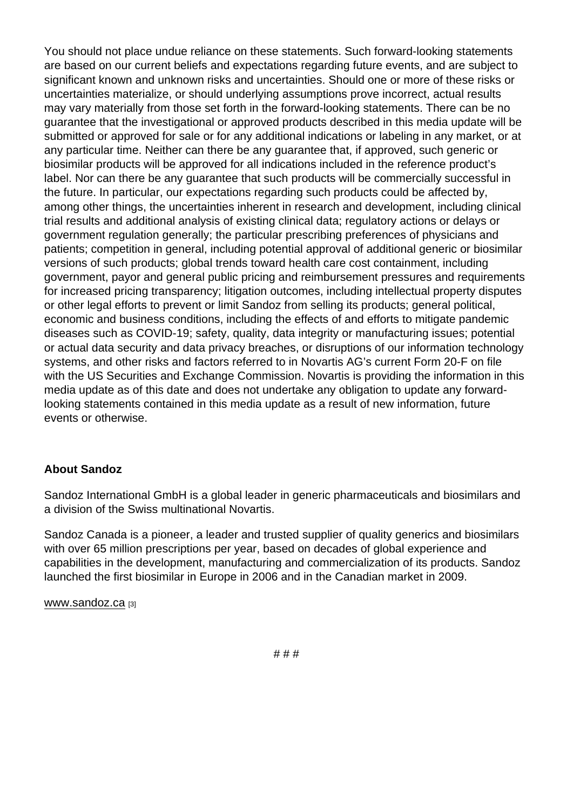You should not place undue reliance on these statements. Such forward-looking statements are based on our current beliefs and expectations regarding future events, and are subject to significant known and unknown risks and uncertainties. Should one or more of these risks or uncertainties materialize, or should underlying assumptions prove incorrect, actual results may vary materially from those set forth in the forward-looking statements. There can be no guarantee that the investigational or approved products described in this media update will be submitted or approved for sale or for any additional indications or labeling in any market, or at any particular time. Neither can there be any guarantee that, if approved, such generic or biosimilar products will be approved for all indications included in the reference product's label. Nor can there be any guarantee that such products will be commercially successful in the future. In particular, our expectations regarding such products could be affected by, among other things, the uncertainties inherent in research and development, including clinical trial results and additional analysis of existing clinical data; regulatory actions or delays or government regulation generally; the particular prescribing preferences of physicians and patients; competition in general, including potential approval of additional generic or biosimilar versions of such products; global trends toward health care cost containment, including government, payor and general public pricing and reimbursement pressures and requirements for increased pricing transparency; litigation outcomes, including intellectual property disputes or other legal efforts to prevent or limit Sandoz from selling its products; general political, economic and business conditions, including the effects of and efforts to mitigate pandemic diseases such as COVID-19; safety, quality, data integrity or manufacturing issues; potential or actual data security and data privacy breaches, or disruptions of our information technology systems, and other risks and factors referred to in Novartis AG's current Form 20-F on file with the US Securities and Exchange Commission. Novartis is providing the information in this media update as of this date and does not undertake any obligation to update any forwardlooking statements contained in this media update as a result of new information, future events or otherwise.

#### About Sandoz

Sandoz International GmbH is a global leader in generic pharmaceuticals and biosimilars and a division of the Swiss multinational Novartis.

Sandoz Canada is a pioneer, a leader and trusted supplier of quality generics and biosimilars with over 65 million prescriptions per year, based on decades of global experience and capabilities in the development, manufacturing and commercialization of its products. Sandoz launched the first biosimilar in Europe in 2006 and in the Canadian market in 2009.

#### [www.sandoz.ca](http://www.sandoz.ca) [3]